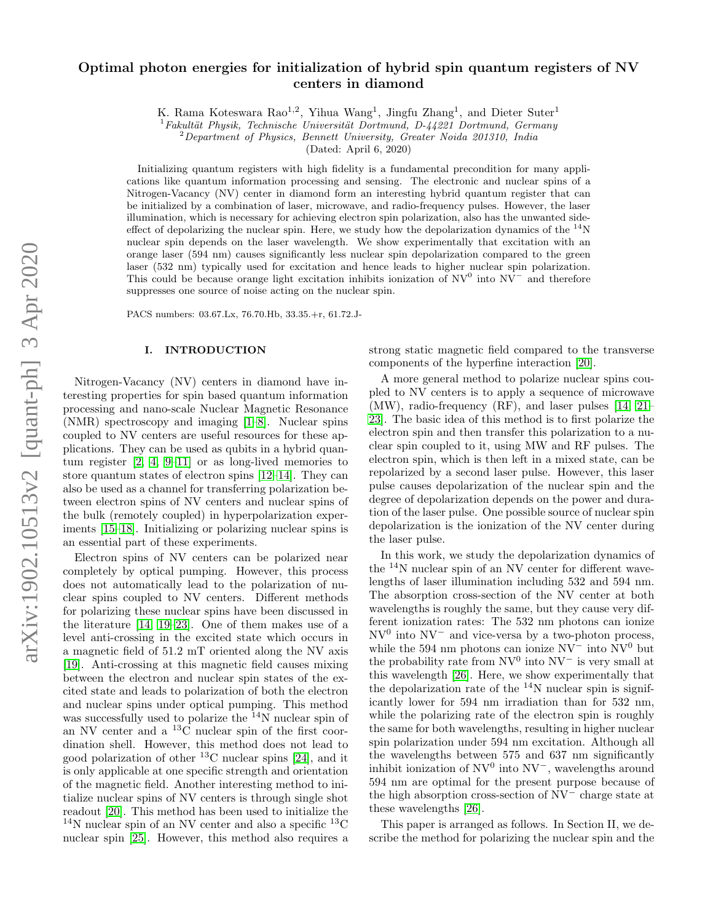# Optimal photon energies for initialization of hybrid spin quantum registers of NV centers in diamond

K. Rama Koteswara Rao<sup>1,2</sup>, Yihua Wang<sup>1</sup>, Jingfu Zhang<sup>1</sup>, and Dieter Suter<sup>1</sup>

 $1$ Fakultät Physik, Technische Universität Dortmund, D-44221 Dortmund, Germany

 $2$ Department of Physics, Bennett University, Greater Noida 201310, India

(Dated: April 6, 2020)

Initializing quantum registers with high fidelity is a fundamental precondition for many applications like quantum information processing and sensing. The electronic and nuclear spins of a Nitrogen-Vacancy (NV) center in diamond form an interesting hybrid quantum register that can be initialized by a combination of laser, microwave, and radio-frequency pulses. However, the laser illumination, which is necessary for achieving electron spin polarization, also has the unwanted sideeffect of depolarizing the nuclear spin. Here, we study how the depolarization dynamics of the  $^{14}$ N nuclear spin depends on the laser wavelength. We show experimentally that excitation with an orange laser (594 nm) causes significantly less nuclear spin depolarization compared to the green laser (532 nm) typically used for excitation and hence leads to higher nuclear spin polarization. This could be because orange light excitation inhibits ionization of  $N V^0$  into  $N V^-$  and therefore suppresses one source of noise acting on the nuclear spin.

PACS numbers: 03.67.Lx, 76.70.Hb, 33.35.+r, 61.72.J-

#### I. INTRODUCTION

Nitrogen-Vacancy (NV) centers in diamond have interesting properties for spin based quantum information processing and nano-scale Nuclear Magnetic Resonance (NMR) spectroscopy and imaging [\[1](#page-5-0)[–8\]](#page-5-1). Nuclear spins coupled to NV centers are useful resources for these applications. They can be used as qubits in a hybrid quantum register [\[2,](#page-5-2) [4,](#page-5-3) [9–](#page-5-4)[11\]](#page-5-5) or as long-lived memories to store quantum states of electron spins [\[12–](#page-5-6)[14\]](#page-6-0). They can also be used as a channel for transferring polarization between electron spins of NV centers and nuclear spins of the bulk (remotely coupled) in hyperpolarization experiments [\[15–](#page-6-1)[18\]](#page-6-2). Initializing or polarizing nuclear spins is an essential part of these experiments.

Electron spins of NV centers can be polarized near completely by optical pumping. However, this process does not automatically lead to the polarization of nuclear spins coupled to NV centers. Different methods for polarizing these nuclear spins have been discussed in the literature [\[14,](#page-6-0) [19–](#page-6-3)[23\]](#page-6-4). One of them makes use of a level anti-crossing in the excited state which occurs in a magnetic field of 51.2 mT oriented along the NV axis [\[19\]](#page-6-3). Anti-crossing at this magnetic field causes mixing between the electron and nuclear spin states of the excited state and leads to polarization of both the electron and nuclear spins under optical pumping. This method was successfully used to polarize the  $14N$  nuclear spin of an NV center and a  $^{13}$ C nuclear spin of the first coordination shell. However, this method does not lead to good polarization of other  $^{13}$ C nuclear spins [\[24\]](#page-6-5), and it is only applicable at one specific strength and orientation of the magnetic field. Another interesting method to initialize nuclear spins of NV centers is through single shot readout [\[20\]](#page-6-6). This method has been used to initialize the  $14$ N nuclear spin of an NV center and also a specific  $13$ C nuclear spin [\[25\]](#page-6-7). However, this method also requires a

strong static magnetic field compared to the transverse components of the hyperfine interaction [\[20\]](#page-6-6).

A more general method to polarize nuclear spins coupled to NV centers is to apply a sequence of microwave (MW), radio-frequency (RF), and laser pulses [\[14,](#page-6-0) [21–](#page-6-8) [23\]](#page-6-4). The basic idea of this method is to first polarize the electron spin and then transfer this polarization to a nuclear spin coupled to it, using MW and RF pulses. The electron spin, which is then left in a mixed state, can be repolarized by a second laser pulse. However, this laser pulse causes depolarization of the nuclear spin and the degree of depolarization depends on the power and duration of the laser pulse. One possible source of nuclear spin depolarization is the ionization of the NV center during the laser pulse.

In this work, we study the depolarization dynamics of the <sup>14</sup>N nuclear spin of an NV center for different wavelengths of laser illumination including 532 and 594 nm. The absorption cross-section of the NV center at both wavelengths is roughly the same, but they cause very different ionization rates: The 532 nm photons can ionize  $NV<sup>0</sup>$  into  $NV<sup>-</sup>$  and vice-versa by a two-photon process, while the 594 nm photons can ionize  $\rm NV^-$  into  $\rm NV^0$  but the probability rate from  $NV^0$  into  $NV^-$  is very small at this wavelength [\[26\]](#page-6-9). Here, we show experimentally that the depolarization rate of the  $14N$  nuclear spin is significantly lower for 594 nm irradiation than for 532 nm, while the polarizing rate of the electron spin is roughly the same for both wavelengths, resulting in higher nuclear spin polarization under 594 nm excitation. Although all the wavelengths between 575 and 637 nm significantly inhibit ionization of  $\rm NV^0$  into  $\rm NV^-$ , wavelengths around 594 nm are optimal for the present purpose because of the high absorption cross-section of NV<sup>−</sup> charge state at these wavelengths [\[26\]](#page-6-9).

This paper is arranged as follows. In Section II, we describe the method for polarizing the nuclear spin and the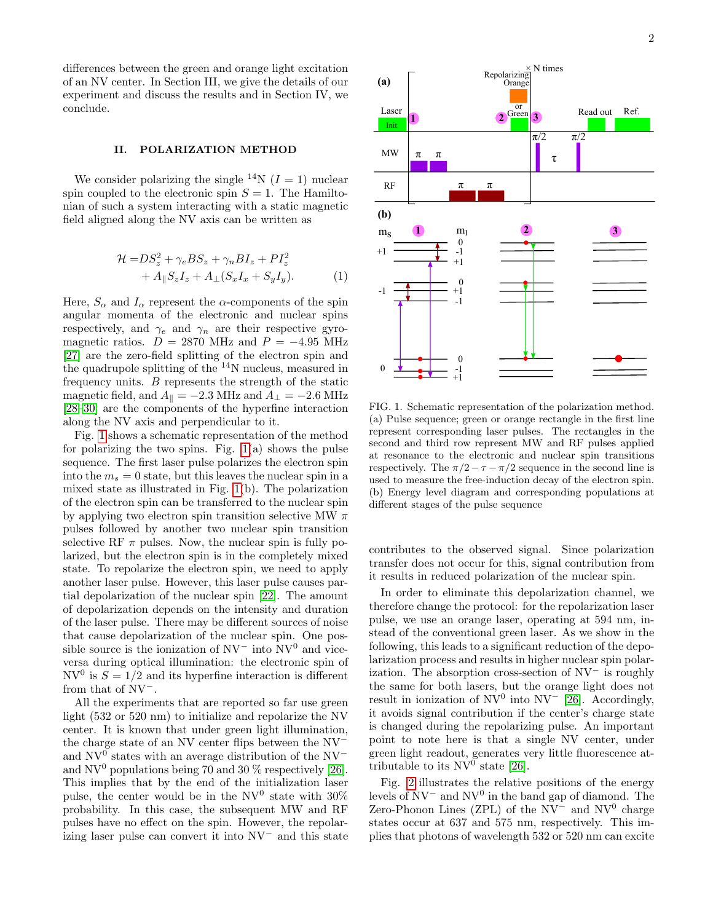differences between the green and orange light excitation of an NV center. In Section III, we give the details of our experiment and discuss the results and in Section IV, we conclude.

#### II. POLARIZATION METHOD

We consider polarizing the single <sup>14</sup>N ( $I = 1$ ) nuclear spin coupled to the electronic spin  $S = 1$ . The Hamiltonian of such a system interacting with a static magnetic field aligned along the NV axis can be written as

$$
\mathcal{H} = DS_z^2 + \gamma_e BS_z + \gamma_n BI_z + PI_z^2
$$
  
+ 
$$
A_{\parallel} S_z I_z + A_{\perp} (S_x I_x + S_y I_y).
$$
 (1)

Here,  $S_{\alpha}$  and  $I_{\alpha}$  represent the  $\alpha$ -components of the spin angular momenta of the electronic and nuclear spins respectively, and  $\gamma_e$  and  $\gamma_n$  are their respective gyromagnetic ratios.  $D = 2870$  MHz and  $P = -4.95$  MHz [\[27\]](#page-6-10) are the zero-field splitting of the electron spin and the quadrupole splitting of the  $14N$  nucleus, measured in frequency units. B represents the strength of the static magnetic field, and  $A_{\parallel} = -2.3$  MHz and  $A_{\perp} = -2.6$  MHz [\[28–](#page-6-11)[30\]](#page-6-12) are the components of the hyperfine interaction along the NV axis and perpendicular to it.

Fig. [1](#page-1-0) shows a schematic representation of the method for polarizing the two spins. Fig.  $1(a)$  shows the pulse sequence. The first laser pulse polarizes the electron spin into the  $m_s = 0$  state, but this leaves the nuclear spin in a mixed state as illustrated in Fig. [1\(](#page-1-0)b). The polarization of the electron spin can be transferred to the nuclear spin by applying two electron spin transition selective MW  $\pi$ pulses followed by another two nuclear spin transition selective RF  $\pi$  pulses. Now, the nuclear spin is fully polarized, but the electron spin is in the completely mixed state. To repolarize the electron spin, we need to apply another laser pulse. However, this laser pulse causes partial depolarization of the nuclear spin [\[22\]](#page-6-13). The amount of depolarization depends on the intensity and duration of the laser pulse. There may be different sources of noise that cause depolarization of the nuclear spin. One possible source is the ionization of  $NV^-$  into  $NV^0$  and viceversa during optical illumination: the electronic spin of NV<sup>0</sup> is  $S = 1/2$  and its hyperfine interaction is different from that of NV<sup>−</sup>.

All the experiments that are reported so far use green light (532 or 520 nm) to initialize and repolarize the NV center. It is known that under green light illumination, the charge state of an NV center flips between the NV<sup>−</sup> and  $\text{NV}^0$  states with an average distribution of the  $\text{NV}^$ and  $\rm{NV^0}$  populations being 70 and 30 % respectively [\[26\]](#page-6-9). This implies that by the end of the initialization laser pulse, the center would be in the  $NV^0$  state with 30% probability. In this case, the subsequent MW and RF pulses have no effect on the spin. However, the repolarizing laser pulse can convert it into NV<sup>−</sup> and this state



<span id="page-1-0"></span>FIG. 1. Schematic representation of the polarization method. (a) Pulse sequence; green or orange rectangle in the first line represent corresponding laser pulses. The rectangles in the second and third row represent MW and RF pulses applied at resonance to the electronic and nuclear spin transitions respectively. The  $\pi/2 - \tau - \pi/2$  sequence in the second line is used to measure the free-induction decay of the electron spin. (b) Energy level diagram and corresponding populations at different stages of the pulse sequence

contributes to the observed signal. Since polarization transfer does not occur for this, signal contribution from it results in reduced polarization of the nuclear spin.

In order to eliminate this depolarization channel, we therefore change the protocol: for the repolarization laser pulse, we use an orange laser, operating at 594 nm, instead of the conventional green laser. As we show in the following, this leads to a significant reduction of the depolarization process and results in higher nuclear spin polarization. The absorption cross-section of NV<sup>−</sup> is roughly the same for both lasers, but the orange light does not result in ionization of  $\rm NV^0$  into  $\rm NV^-$  [\[26\]](#page-6-9). Accordingly, it avoids signal contribution if the center's charge state is changed during the repolarizing pulse. An important point to note here is that a single NV center, under green light readout, generates very little fluorescence attributable to its  $NV^0$  state [\[26\]](#page-6-9).

Fig. [2](#page-2-0) illustrates the relative positions of the energy levels of  $NV^-$  and  $NV^0$  in the band gap of diamond. The Zero-Phonon Lines (ZPL) of the  $NV^-$  and  $NV^0$  charge states occur at 637 and 575 nm, respectively. This implies that photons of wavelength 532 or 520 nm can excite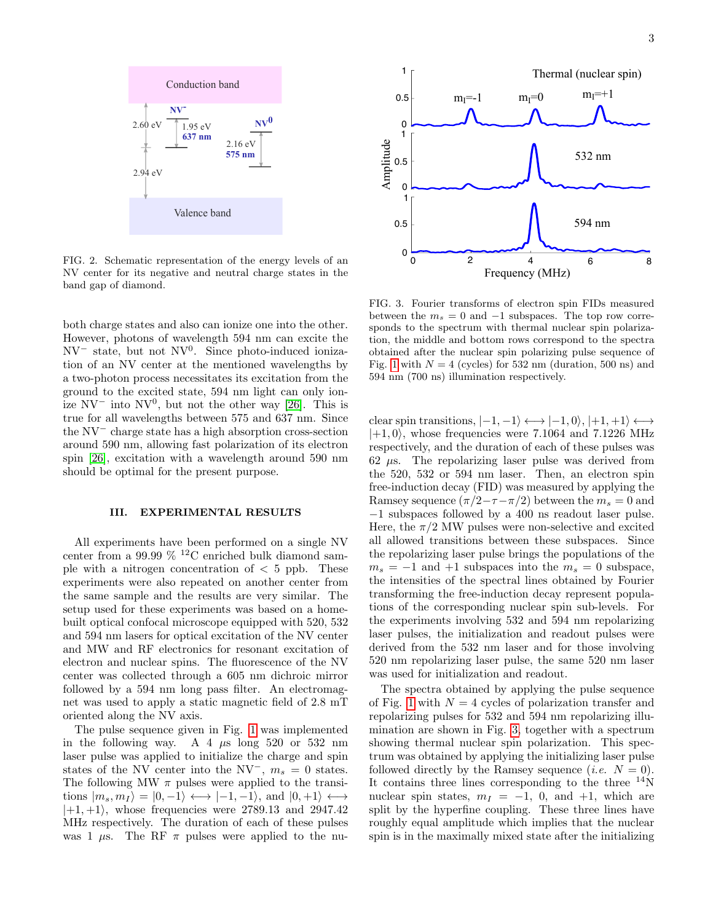

<span id="page-2-0"></span>FIG. 2. Schematic representation of the energy levels of an NV center for its negative and neutral charge states in the band gap of diamond.

both charge states and also can ionize one into the other. However, photons of wavelength 594 nm can excite the NV<sup>−</sup> state, but not NV<sup>0</sup> . Since photo-induced ionization of an NV center at the mentioned wavelengths by a two-photon process necessitates its excitation from the ground to the excited state, 594 nm light can only ionize  $\text{NV}^-$  into  $\text{NV}^0$ , but not the other way [\[26\]](#page-6-9). This is true for all wavelengths between 575 and 637 nm. Since the NV<sup>−</sup> charge state has a high absorption cross-section around 590 nm, allowing fast polarization of its electron spin [\[26\]](#page-6-9), excitation with a wavelength around 590 nm should be optimal for the present purpose.

## III. EXPERIMENTAL RESULTS

All experiments have been performed on a single NV center from a 99.99  $\%$  <sup>12</sup>C enriched bulk diamond sample with a nitrogen concentration of  $\langle 5 \rangle$  ppb. These experiments were also repeated on another center from the same sample and the results are very similar. The setup used for these experiments was based on a homebuilt optical confocal microscope equipped with 520, 532 and 594 nm lasers for optical excitation of the NV center and MW and RF electronics for resonant excitation of electron and nuclear spins. The fluorescence of the NV center was collected through a 605 nm dichroic mirror followed by a 594 nm long pass filter. An electromagnet was used to apply a static magnetic field of 2.8 mT oriented along the NV axis.

The pulse sequence given in Fig. [1](#page-1-0) was implemented in the following way. A 4  $\mu$ s long 520 or 532 nm laser pulse was applied to initialize the charge and spin states of the NV center into the NV<sup>-</sup>,  $m_s = 0$  states. The following MW  $\pi$  pulses were applied to the transitions  $|m_s, m_I \rangle = |0, -1 \rangle \longleftrightarrow |-1, -1\rangle$ , and  $|0, +1\rangle \longleftrightarrow$  $|+1,+1\rangle$ , whose frequencies were 2789.13 and 2947.42 MHz respectively. The duration of each of these pulses was 1  $\mu$ s. The RF  $\pi$  pulses were applied to the nu-



<span id="page-2-1"></span>FIG. 3. Fourier transforms of electron spin FIDs measured between the  $m_s = 0$  and  $-1$  subspaces. The top row corresponds to the spectrum with thermal nuclear spin polarization, the middle and bottom rows correspond to the spectra obtained after the nuclear spin polarizing pulse sequence of Fig. [1](#page-1-0) with  $N = 4$  (cycles) for 532 nm (duration, 500 ns) and 594 nm (700 ns) illumination respectively.

clear spin transitions,  $|-1,-1\rangle \longleftrightarrow |-1,0\rangle, |+1,+1\rangle \longleftrightarrow$  $|+1, 0\rangle$ , whose frequencies were 7.1064 and 7.1226 MHz respectively, and the duration of each of these pulses was 62  $\mu$ s. The repolarizing laser pulse was derived from the 520, 532 or 594 nm laser. Then, an electron spin free-induction decay (FID) was measured by applying the Ramsey sequence  $(\pi/2-\tau-\pi/2)$  between the  $m_s = 0$  and −1 subspaces followed by a 400 ns readout laser pulse. Here, the  $\pi/2$  MW pulses were non-selective and excited all allowed transitions between these subspaces. Since the repolarizing laser pulse brings the populations of the  $m_s = -1$  and  $+1$  subspaces into the  $m_s = 0$  subspace, the intensities of the spectral lines obtained by Fourier transforming the free-induction decay represent populations of the corresponding nuclear spin sub-levels. For the experiments involving 532 and 594 nm repolarizing laser pulses, the initialization and readout pulses were derived from the 532 nm laser and for those involving 520 nm repolarizing laser pulse, the same 520 nm laser was used for initialization and readout.

The spectra obtained by applying the pulse sequence of Fig. [1](#page-1-0) with  $N = 4$  cycles of polarization transfer and repolarizing pulses for 532 and 594 nm repolarizing illumination are shown in Fig. [3,](#page-2-1) together with a spectrum showing thermal nuclear spin polarization. This spectrum was obtained by applying the initializing laser pulse followed directly by the Ramsey sequence (*i.e.*  $N = 0$ ). It contains three lines corresponding to the three  $^{14}$ N nuclear spin states,  $m_I = -1$ , 0, and  $+1$ , which are split by the hyperfine coupling. These three lines have roughly equal amplitude which implies that the nuclear spin is in the maximally mixed state after the initializing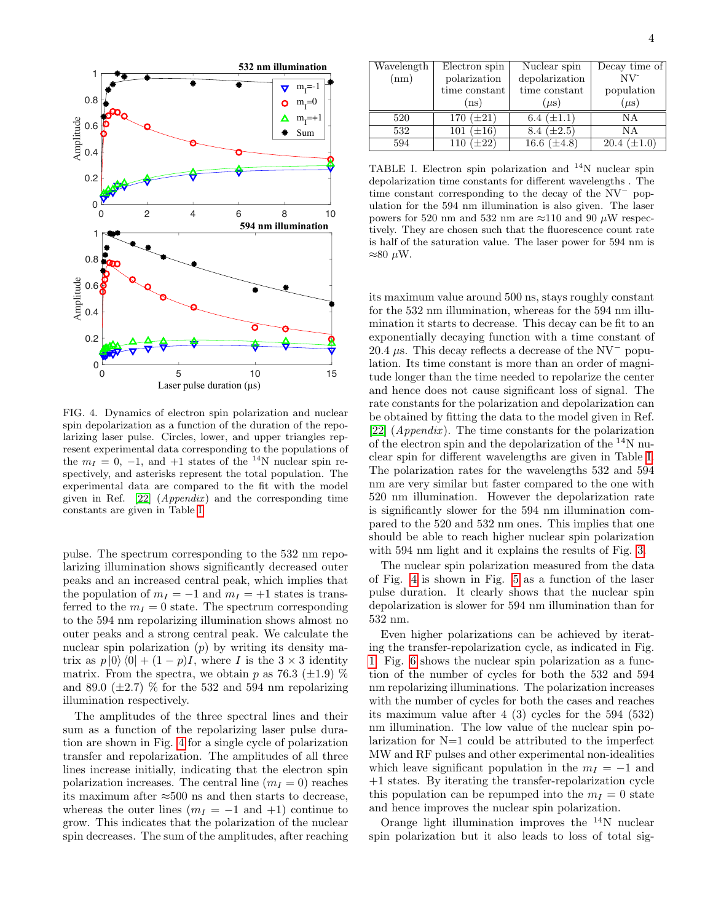

<span id="page-3-1"></span>FIG. 4. Dynamics of electron spin polarization and nuclear spin depolarization as a function of the duration of the repolarizing laser pulse. Circles, lower, and upper triangles represent experimental data corresponding to the populations of the  $m_I = 0, -1,$  and  $+1$  states of the <sup>14</sup>N nuclear spin respectively, and asterisks represent the total population. The experimental data are compared to the fit with the model given in Ref.  $[22]$  (*Appendix*) and the corresponding time constants are given in Table [I.](#page-3-0)

pulse. The spectrum corresponding to the 532 nm repolarizing illumination shows significantly decreased outer peaks and an increased central peak, which implies that the population of  $m_I = -1$  and  $m_I = +1$  states is transferred to the  $m_I = 0$  state. The spectrum corresponding to the 594 nm repolarizing illumination shows almost no outer peaks and a strong central peak. We calculate the nuclear spin polarization  $(p)$  by writing its density matrix as  $p |0\rangle\langle 0| + (1 - p)I$ , where I is the  $3 \times 3$  identity matrix. From the spectra, we obtain p as 76.3 ( $\pm$ 1.9)  $\%$ and 89.0 ( $\pm$ 2.7) % for the 532 and 594 nm repolarizing illumination respectively.

The amplitudes of the three spectral lines and their sum as a function of the repolarizing laser pulse duration are shown in Fig. [4](#page-3-1) for a single cycle of polarization transfer and repolarization. The amplitudes of all three lines increase initially, indicating that the electron spin polarization increases. The central line  $(m<sub>I</sub> = 0)$  reaches its maximum after ≈500 ns and then starts to decrease, whereas the outer lines  $(m_I = -1$  and  $+1)$  continue to grow. This indicates that the polarization of the nuclear spin decreases. The sum of the amplitudes, after reaching

| Wavelength | Electron spin  | Nuclear spin     | Decay time of         |  |  |
|------------|----------------|------------------|-----------------------|--|--|
| (nm)       | polarization   | depolarization   | $\rm NV$ <sup>-</sup> |  |  |
|            | time constant  | time constant    | population            |  |  |
|            | (ns)           | $(\mu s)$        | $(\mu s)$             |  |  |
| 520        | 170 $(\pm 21)$ | 6.4 $(\pm 1.1)$  | ΝA                    |  |  |
| 532        | 101 $(\pm 16)$ | 8.4 $(\pm 2.5)$  | ΝA                    |  |  |
| 594        | 110 $(\pm 22)$ | 16.6 $(\pm 4.8)$ | $(\pm 1.0)$<br>20.4   |  |  |

<span id="page-3-0"></span>TABLE I. Electron spin polarization and  $^{14}$ N nuclear spin depolarization time constants for different wavelengths . The time constant corresponding to the decay of the NV<sup>−</sup> population for the 594 nm illumination is also given. The laser powers for 520 nm and 532 nm are  $\approx$ 110 and 90  $\mu$ W respectively. They are chosen such that the fluorescence count rate is half of the saturation value. The laser power for 594 nm is  $≈80 \mu W.$ 

its maximum value around 500 ns, stays roughly constant for the 532 nm illumination, whereas for the 594 nm illumination it starts to decrease. This decay can be fit to an exponentially decaying function with a time constant of 20.4  $\mu$ s. This decay reflects a decrease of the NV<sup>-</sup> population. Its time constant is more than an order of magnitude longer than the time needed to repolarize the center and hence does not cause significant loss of signal. The rate constants for the polarization and depolarization can be obtained by fitting the data to the model given in Ref. [\[22\]](#page-6-13)  $(A \text{p} \text{p} \text{e} \text{m} \text{d} \text{d} \text{r})$ . The time constants for the polarization of the electron spin and the depolarization of the <sup>14</sup>N nuclear spin for different wavelengths are given in Table [I.](#page-3-0) The polarization rates for the wavelengths 532 and 594 nm are very similar but faster compared to the one with 520 nm illumination. However the depolarization rate is significantly slower for the 594 nm illumination compared to the 520 and 532 nm ones. This implies that one should be able to reach higher nuclear spin polarization with 594 nm light and it explains the results of Fig. [3.](#page-2-1)

The nuclear spin polarization measured from the data of Fig. [4](#page-3-1) is shown in Fig. [5](#page-4-0) as a function of the laser pulse duration. It clearly shows that the nuclear spin depolarization is slower for 594 nm illumination than for 532 nm.

Even higher polarizations can be achieved by iterating the transfer-repolarization cycle, as indicated in Fig. [1.](#page-1-0) Fig. [6](#page-4-1) shows the nuclear spin polarization as a function of the number of cycles for both the 532 and 594 nm repolarizing illuminations. The polarization increases with the number of cycles for both the cases and reaches its maximum value after 4 (3) cycles for the 594 (532) nm illumination. The low value of the nuclear spin polarization for N=1 could be attributed to the imperfect MW and RF pulses and other experimental non-idealities which leave significant population in the  $m_I = -1$  and +1 states. By iterating the transfer-repolarization cycle this population can be repumped into the  $m_I = 0$  state and hence improves the nuclear spin polarization.

Orange light illumination improves the  $^{14}N$  nuclear spin polarization but it also leads to loss of total sig-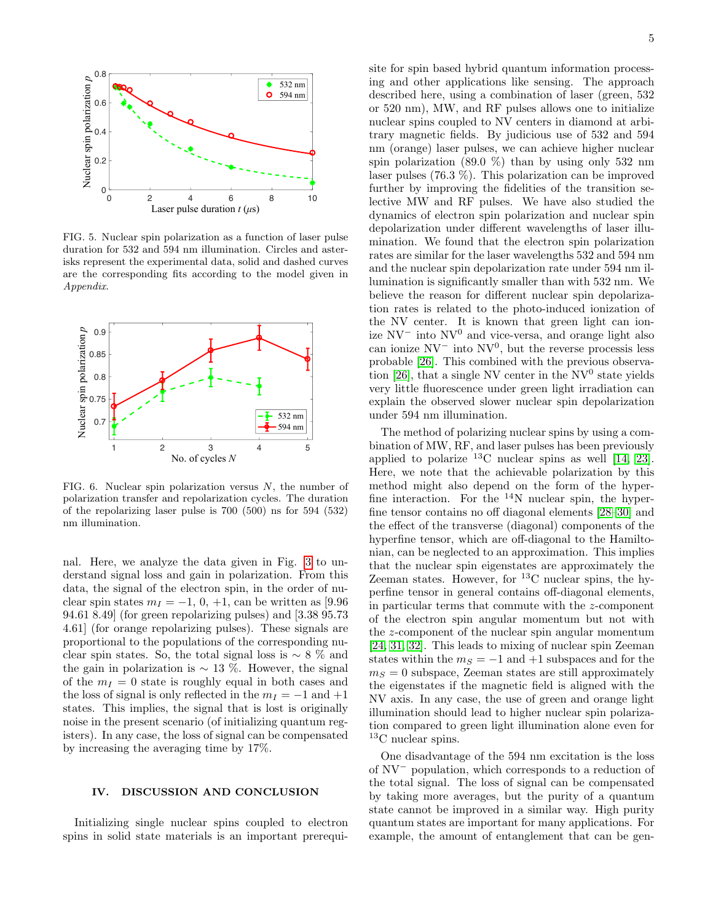

<span id="page-4-0"></span>FIG. 5. Nuclear spin polarization as a function of laser pulse duration for 532 and 594 nm illumination. Circles and asterisks represent the experimental data, solid and dashed curves are the corresponding fits according to the model given in Appendix.



<span id="page-4-1"></span>FIG. 6. Nuclear spin polarization versus  $N$ , the number of polarization transfer and repolarization cycles. The duration of the repolarizing laser pulse is 700 (500) ns for 594 (532) nm illumination.

nal. Here, we analyze the data given in Fig. [3](#page-2-1) to understand signal loss and gain in polarization. From this data, the signal of the electron spin, in the order of nuclear spin states  $m_I = -1, 0, +1$ , can be written as [9.96] 94.61 8.49] (for green repolarizing pulses) and [3.38 95.73 4.61] (for orange repolarizing pulses). These signals are proportional to the populations of the corresponding nuclear spin states. So, the total signal loss is  $\sim 8\%$  and the gain in polarization is  $\sim$  13 %. However, the signal of the  $m<sub>I</sub> = 0$  state is roughly equal in both cases and the loss of signal is only reflected in the  $m_I = -1$  and  $+1$ states. This implies, the signal that is lost is originally noise in the present scenario (of initializing quantum registers). In any case, the loss of signal can be compensated by increasing the averaging time by 17%.

### IV. DISCUSSION AND CONCLUSION

Initializing single nuclear spins coupled to electron spins in solid state materials is an important prerequisite for spin based hybrid quantum information processing and other applications like sensing. The approach described here, using a combination of laser (green, 532 or 520 nm), MW, and RF pulses allows one to initialize nuclear spins coupled to NV centers in diamond at arbitrary magnetic fields. By judicious use of 532 and 594 nm (orange) laser pulses, we can achieve higher nuclear spin polarization  $(89.0 \%)$  than by using only 532 nm laser pulses (76.3 %). This polarization can be improved further by improving the fidelities of the transition selective MW and RF pulses. We have also studied the dynamics of electron spin polarization and nuclear spin depolarization under different wavelengths of laser illumination. We found that the electron spin polarization rates are similar for the laser wavelengths 532 and 594 nm and the nuclear spin depolarization rate under 594 nm illumination is significantly smaller than with 532 nm. We believe the reason for different nuclear spin depolarization rates is related to the photo-induced ionization of the NV center. It is known that green light can ionize NV<sup>−</sup> into NV<sup>0</sup> and vice-versa, and orange light also can ionize  $NV^-$  into  $NV^0$ , but the reverse processis less probable [\[26\]](#page-6-9). This combined with the previous observa-tion [\[26\]](#page-6-9), that a single NV center in the  $NV^0$  state yields very little fluorescence under green light irradiation can explain the observed slower nuclear spin depolarization under 594 nm illumination.

The method of polarizing nuclear spins by using a combination of MW, RF, and laser pulses has been previously applied to polarize <sup>13</sup>C nuclear spins as well [\[14,](#page-6-0) [23\]](#page-6-4). Here, we note that the achievable polarization by this method might also depend on the form of the hyperfine interaction. For the  $14N$  nuclear spin, the hyperfine tensor contains no off diagonal elements [\[28–](#page-6-11)[30\]](#page-6-12) and the effect of the transverse (diagonal) components of the hyperfine tensor, which are off-diagonal to the Hamiltonian, can be neglected to an approximation. This implies that the nuclear spin eigenstates are approximately the Zeeman states. However, for  $^{13}$ C nuclear spins, the hyperfine tensor in general contains off-diagonal elements, in particular terms that commute with the z-component of the electron spin angular momentum but not with the z-component of the nuclear spin angular momentum [\[24,](#page-6-5) [31,](#page-6-14) [32\]](#page-6-15). This leads to mixing of nuclear spin Zeeman states within the  $m<sub>S</sub> = -1$  and  $+1$  subspaces and for the  $m<sub>S</sub> = 0$  subspace, Zeeman states are still approximately the eigenstates if the magnetic field is aligned with the NV axis. In any case, the use of green and orange light illumination should lead to higher nuclear spin polarization compared to green light illumination alone even for <sup>13</sup>C nuclear spins.

One disadvantage of the 594 nm excitation is the loss of NV<sup>−</sup> population, which corresponds to a reduction of the total signal. The loss of signal can be compensated by taking more averages, but the purity of a quantum state cannot be improved in a similar way. High purity quantum states are important for many applications. For example, the amount of entanglement that can be gen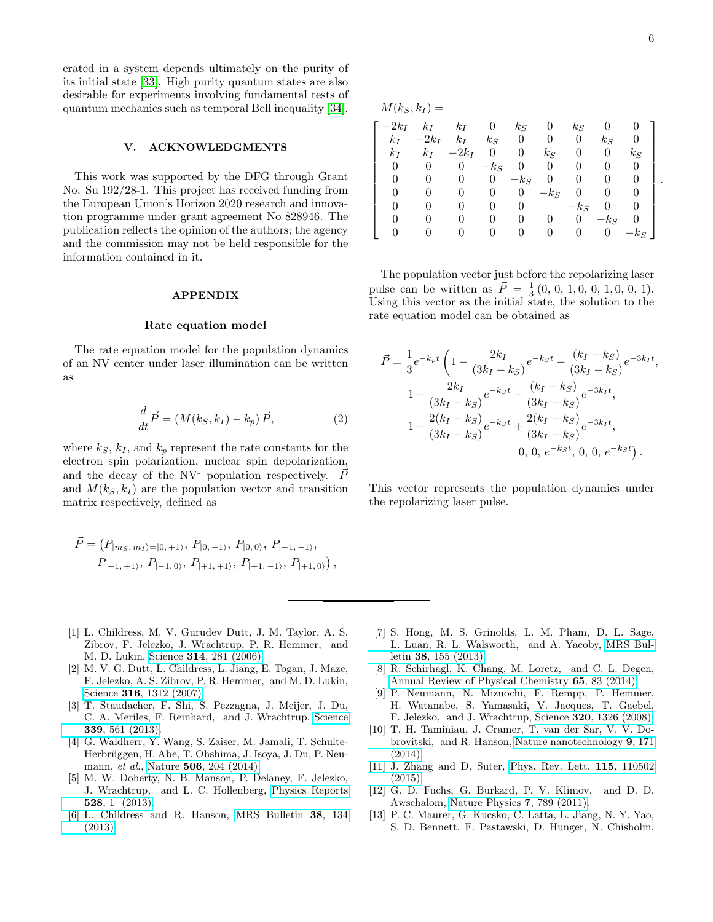erated in a system depends ultimately on the purity of its initial state [\[33\]](#page-6-16). High purity quantum states are also desirable for experiments involving fundamental tests of quantum mechanics such as temporal Bell inequality [\[34\]](#page-6-17).

### V. ACKNOWLEDGMENTS

This work was supported by the DFG through Grant No. Su 192/28-1. This project has received funding from the European Union's Horizon 2020 research and innovation programme under grant agreement No 828946. The publication reflects the opinion of the authors; the agency and the commission may not be held responsible for the information contained in it.

### APPENDIX

#### Rate equation model

The rate equation model for the population dynamics of an NV center under laser illumination can be written as

$$
\frac{d}{dt}\vec{P} = (M(k_S, k_I) - k_p)\vec{P},\tag{2}
$$

where  $k_S$ ,  $k_I$ , and  $k_p$  represent the rate constants for the electron spin polarization, nuclear spin depolarization, and the decay of the NV- population respectively.  $\vec{P}$ and  $M(k<sub>S</sub>, k<sub>I</sub>)$  are the population vector and transition matrix respectively, defined as

$$
\vec{P} = (P_{|ms, m_1\rangle = |0, +1\rangle}, P_{|0, -1\rangle}, P_{|0, 0\rangle}, P_{|-1, -1\rangle},
$$
  

$$
P_{|-1, +1\rangle}, P_{|-1, 0\rangle}, P_{|+1, +1\rangle}, P_{|+1, -1\rangle}, P_{|+1, 0\rangle}),
$$

- <span id="page-5-0"></span>[1] L. Childress, M. V. Gurudev Dutt, J. M. Taylor, A. S. Zibrov, F. Jelezko, J. Wrachtrup, P. R. Hemmer, and M. D. Lukin, Science 314[, 281 \(2006\).](http://dx.doi.org/ 10.1126/science.1131871)
- <span id="page-5-2"></span>[2] M. V. G. Dutt, L. Childress, L. Jiang, E. Togan, J. Maze, F. Jelezko, A. S. Zibrov, P. R. Hemmer, and M. D. Lukin, Science 316[, 1312 \(2007\).](http://dx.doi.org/10.1126/science.1139831)
- [3] T. Staudacher, F. Shi, S. Pezzagna, J. Meijer, J. Du, C. A. Meriles, F. Reinhard, and J. Wrachtrup, [Science](http://dx.doi.org/10.1126/science.1231675) 339[, 561 \(2013\).](http://dx.doi.org/10.1126/science.1231675)
- <span id="page-5-3"></span>[4] G. Waldherr, Y. Wang, S. Zaiser, M. Jamali, T. Schulte-Herbrüggen, H. Abe, T. Ohshima, J. Isoya, J. Du, P. Neumann, et al., Nature **506**[, 204 \(2014\).](http://dx.doi.org/10.1038/nature12919)
- [5] M. W. Doherty, N. B. Manson, P. Delaney, F. Jelezko, J. Wrachtrup, and L. C. Hollenberg, [Physics Reports](http://dx.doi.org/ http://dx.doi.org/10.1016/j.physrep.2013.02.001) 528[, 1 \(2013\).](http://dx.doi.org/ http://dx.doi.org/10.1016/j.physrep.2013.02.001)
- [6] L. Childress and R. Hanson, [MRS Bulletin](http://dx.doi.org/10.1557/mrs.2013.20) 38, 134 [\(2013\).](http://dx.doi.org/10.1557/mrs.2013.20)

 $M(k_S, k_I) =$ 

| $-2k_I$ | $k_I$   | $k_I$   | $\theta$ | $k_S$    | $\theta$ | $k_S$            |          |          |
|---------|---------|---------|----------|----------|----------|------------------|----------|----------|
| $k_I$   | $-2k_I$ | $k_I$   | $k_S$    | $\theta$ | 0        | $\boldsymbol{0}$ | $k_S$    |          |
| $k_I$   | $k_I$   | $-2k_I$ | 0        | 0        | $k_S$    | $\theta$         | $\theta$ | $k_S$    |
| 0       | O       |         | $-k_S$   | 0        | 0        | 0                | 0        | $\theta$ |
|         |         | 0       | 0        | $-k_S$   | 0        | 0                | 0        |          |
|         |         |         | 0        | 0        | $-k_S$   | 0                | 0        |          |
|         |         |         | $_{0}$   | O        |          | $-k_S$           | 0        |          |
|         |         |         |          | 0        |          | $\theta$         | $-k_S$   | O        |
|         |         |         |          |          |          |                  | 0        | $-k_S$   |

The population vector just before the repolarizing laser pulse can be written as  $\vec{P} = \frac{1}{3}(0, 0, 1, 0, 0, 1, 0, 0, 1).$ Using this vector as the initial state, the solution to the rate equation model can be obtained as

$$
\vec{P} = \frac{1}{3}e^{-k_p t} \left( 1 - \frac{2k_I}{(3k_I - k_S)} e^{-k_S t} - \frac{(k_I - k_S)}{(3k_I - k_S)} e^{-3k_I t}, \frac{2k_I}{(3k_I - k_S)} e^{-k_S t} - \frac{(k_I - k_S)}{(3k_I - k_S)} e^{-3k_I t}, \frac{2(k_I - k_S)}{(3k_I - k_S)} e^{-k_S t} + \frac{2(k_I - k_S)}{(3k_I - k_S)} e^{-3k_I t}, \frac{2(k_I - k_S)}{(3k_I - k_S)} e^{-k_S t}, 0, 0, e^{-k_S t} \right).
$$

This vector represents the population dynamics under the repolarizing laser pulse.

- [7] S. Hong, M. S. Grinolds, L. M. Pham, D. L. Sage, L. Luan, R. L. Walsworth, and A. Yacoby, [MRS Bul](http://dx.doi.org/10.1557/mrs.2013.23)letin 38[, 155 \(2013\).](http://dx.doi.org/10.1557/mrs.2013.23)
- <span id="page-5-1"></span>[8] R. Schirhagl, K. Chang, M. Loretz, and C. L. Degen, [Annual Review of Physical Chemistry](http://dx.doi.org/ 10.1146/annurev-physchem-040513-103659) 65, 83 (2014).
- <span id="page-5-4"></span>[9] P. Neumann, N. Mizuochi, F. Rempp, P. Hemmer, H. Watanabe, S. Yamasaki, V. Jacques, T. Gaebel, F. Jelezko, and J. Wrachtrup, Science 320[, 1326 \(2008\).](http://dx.doi.org/10.1126/science.1157233)
- [10] T. H. Taminiau, J. Cramer, T. van der Sar, V. V. Dobrovitski, and R. Hanson, [Nature nanotechnology](http://dx.doi.org/ 10.1038/nnano.2014.2) 9, 171 [\(2014\).](http://dx.doi.org/ 10.1038/nnano.2014.2)
- <span id="page-5-5"></span>[11] J. Zhang and D. Suter, [Phys. Rev. Lett.](http://dx.doi.org/10.1103/PhysRevLett.115.110502) 115, 110502  $(2015)$
- <span id="page-5-6"></span>[12] G. D. Fuchs, G. Burkard, P. V. Klimov, and D. D. Awschalom, [Nature Physics](http://dx.doi.org/10.1038/nphys2026) 7, 789 (2011).
- [13] P. C. Maurer, G. Kucsko, C. Latta, L. Jiang, N. Y. Yao, S. D. Bennett, F. Pastawski, D. Hunger, N. Chisholm,

.